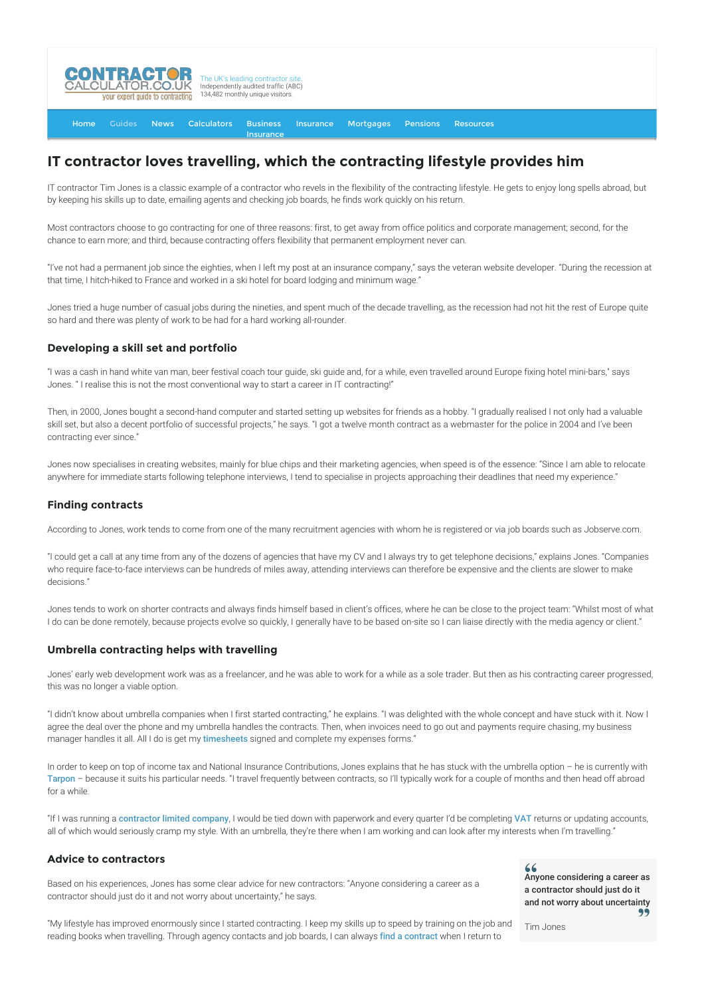

[Home](http://www.contractorcalculator.co.uk/) [Guides](http://www.contractorcalculator.co.uk/Articles.aspx) [News](http://www.contractorcalculator.co.uk/Contractor_News.aspx) [Calculators](http://www.contractorcalculator.co.uk/Calculators.aspx) Business [Insurance](http://www.contractorcalculator.co.uk/Contractor_Insurances.aspx) [Insurance](http://www.contractorcalculator.co.uk/Insurance.aspx) [Mortgages](http://www.contractorcalculator.co.uk/Contractor_Mortgages.aspx) [Pensions](http://www.contractorcalculator.co.uk/Contractor_Pensions.aspx) [Resources](http://www.contractorcalculator.co.uk/Contractor_Resources.aspx)

# **IT contractor loves travelling, which the contracting lifestyle provides him**

IT contractor Tim Jones is a classic example of a contractor who revels in the flexibility of the contracting lifestyle. He gets to enjoy long spells abroad, but by keeping his skills up to date, emailing agents and checking job boards, he finds work quickly on his return.

Most contractors choose to go contracting for one of three reasons: first, to get away from office politics and corporate management; second, for the chance to earn more; and third, because contracting offers flexibility that permanent employment never can.

"I've not had a permanent job since the eighties, when I left my post at an insurance company," says the veteran website developer. "During the recession at that time, I hitch-hiked to France and worked in a ski hotel for board lodging and minimum wage."

Jones tried a huge number of casual jobs during the nineties, and spent much of the decade travelling, as the recession had not hit the rest of Europe quite so hard and there was plenty of work to be had for a hard working all-rounder.

### **Developing a skill set and portfolio**

"I was a cash in hand white van man, beer festival coach tour guide, ski guide and, for a while, even travelled around Europe fixing hotel mini-bars," says Jones. " I realise this is not the most conventional way to start a career in IT contracting!"

Then, in 2000, Jones bought a second-hand computer and started setting up websites for friends as a hobby. "I gradually realised I not only had a valuable skill set, but also a decent portfolio of successful projects," he says. "I got a twelve month contract as a webmaster for the police in 2004 and I've been contracting ever since."

Jones now specialises in creating websites, mainly for blue chips and their marketing agencies, when speed is of the essence: "Since I am able to relocate anywhere for immediate starts following telephone interviews, I tend to specialise in projects approaching their deadlines that need my experience."

#### **Finding contracts**

According to Jones, work tends to come from one of the many recruitment agencies with whom he is registered or via job boards such as Jobserve.com.

"I could get a call at any time from any of the dozens of agencies that have my CV and I always try to get telephone decisions," explains Jones. "Companies who require face-to-face interviews can be hundreds of miles away, attending interviews can therefore be expensive and the clients are slower to make decisions."

Jones tends to work on shorter contracts and always finds himself based in client's offices, where he can be close to the project team: "Whilst most of what I do can be done remotely, because projects evolve so quickly, I generally have to be based on-site so I can liaise directly with the media agency or client."

#### **Umbrella contracting helps with travelling**

Jones' early web development work was as a freelancer, and he was able to work for a while as a sole trader. But then as his contracting career progressed, this was no longer a viable option.

"I didn't know about umbrella companies when I first started contracting," he explains. "I was delighted with the whole concept and have stuck with it. Now I agree the deal over the phone and my umbrella handles the contracts. Then, when invoices need to go out and payments require chasing, my business manager handles it all. All I do is get my [timesheets](http://www.contractorcalculator.co.uk/timesheets_invoices.aspx) signed and complete my expenses forms."

In order to keep on top of income tax and National Insurance Contributions, Jones explains that he has stuck with the umbrella option – he is currently with [Tarpon](http://www.contractorcalculator.co.uk/refer.aspx?site=www.contractorcalculator.co.uk&from=ARTICLE&frompk=IT_CONTRACTOR_TRAVELLING_CONTRACTING_LIFESTYLE&url=http://www.tarpon-uk.com/) – because it suits his particular needs. "I travel frequently between contracts, so I'll typically work for a couple of months and then head off abroad for a while.

"If I was running a [contractor limited company](http://www.contractorcalculator.co.uk/limited_companies.aspx), I would be tied down with paperwork and every quarter I'd be completing [VAT](http://www.contractorcalculator.co.uk/contractors_guide_vat.aspx) returns or updating accounts, all of which would seriously cramp my style. With an umbrella, they're there when I am working and can look after my interests when I'm travelling."

## **Advice to contractors**

Based on his experiences, Jones has some clear advice for new contractors: "Anyone considering a career as a contractor should just do it and not worry about uncertainty," he says.

 $66$ Anyone considering a career as a contractor should just do it and not worry about uncertainty

"My lifestyle has improved enormously since I started contracting. I keep my skills up to speed by training on the job and reading books when travelling. Through agency contacts and job boards, I can always [find a contract](http://www.contractorcalculator.co.uk/how_find_contract_uk_contractor.aspx) when I return to

Tim Jones